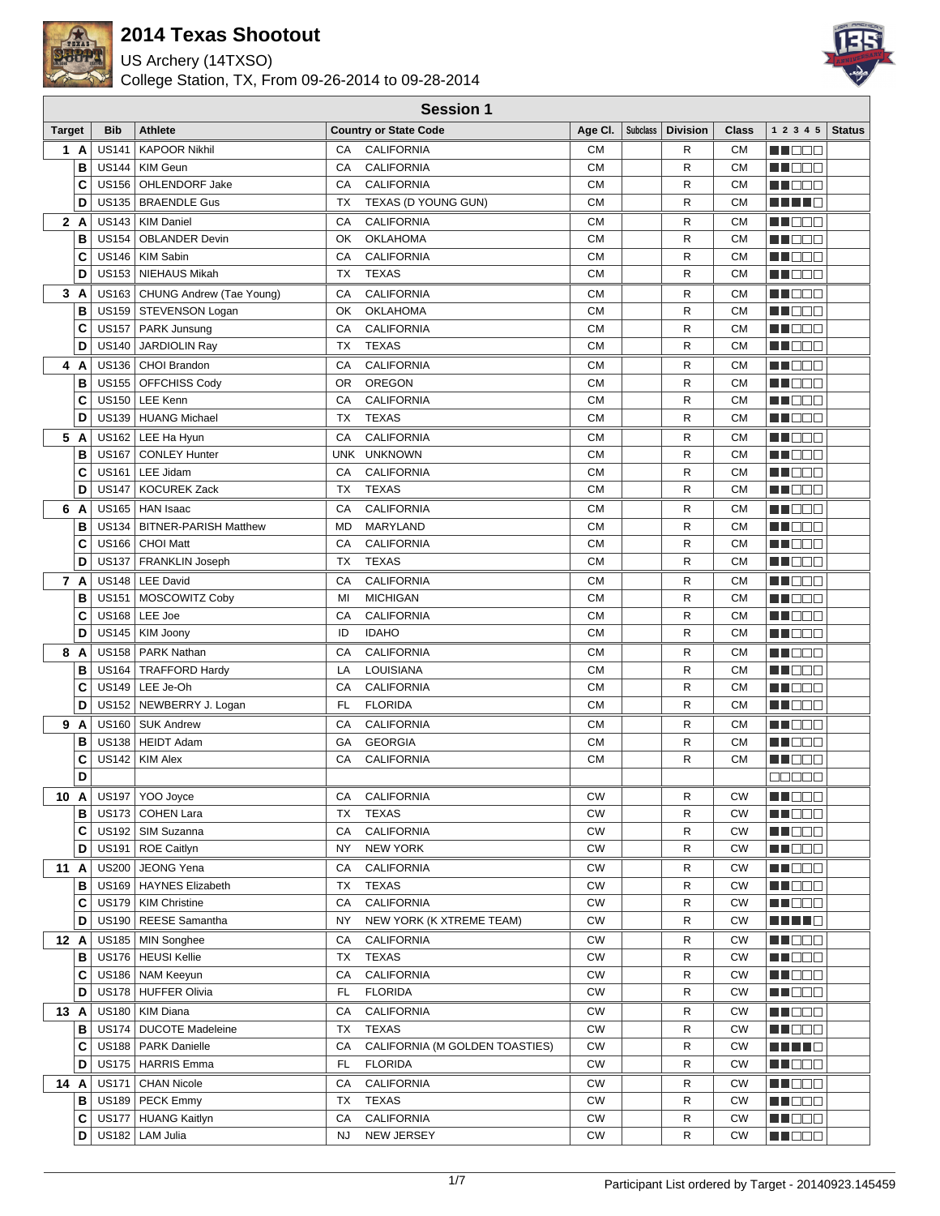

US Archery (14TXSO)



|               | <b>Session 1</b> |              |                                            |            |                                      |                        |          |                 |                        |                      |               |
|---------------|------------------|--------------|--------------------------------------------|------------|--------------------------------------|------------------------|----------|-----------------|------------------------|----------------------|---------------|
| <b>Target</b> |                  | <b>Bib</b>   | <b>Athlete</b>                             |            | <b>Country or State Code</b>         | Age Cl.                | Subclass | <b>Division</b> | <b>Class</b>           | 1 2 3 4 5            | <b>Status</b> |
| 1 A           |                  | <b>US141</b> | <b>KAPOOR Nikhil</b>                       | CA         | <b>CALIFORNIA</b>                    | <b>CM</b>              |          | R               | СM                     | MOO S                |               |
|               | B                |              | US144   KIM Geun                           | CA         | <b>CALIFORNIA</b>                    | <b>CM</b>              |          | R               | СM                     | M DE E               |               |
|               | C                | <b>US156</b> | OHLENDORF Jake                             | CA         | <b>CALIFORNIA</b>                    | <b>CM</b>              |          | R               | <b>CM</b>              | M NO W               |               |
|               | D                | <b>US135</b> | <b>BRAENDLE Gus</b>                        | ТX         | TEXAS (D YOUNG GUN)                  | <b>CM</b>              |          | R               | <b>CM</b>              | H H H H              |               |
| 2 A           |                  |              | US143   KIM Daniel                         | CA         | <b>CALIFORNIA</b>                    | <b>CM</b>              |          | R               | <b>CM</b>              | M OO S               |               |
|               | В                | <b>US154</b> | <b>OBLANDER Devin</b>                      | OK         | <b>OKLAHOMA</b>                      | <b>CM</b>              |          | R               | <b>CM</b>              | MN DE L              |               |
|               | C                | <b>US146</b> | KIM Sabin                                  | СA         | <b>CALIFORNIA</b>                    | <b>CM</b>              |          | R               | <b>CM</b>              | ME DE L              |               |
|               | D                |              | US153   NIEHAUS Mikah                      | TX         | <b>TEXAS</b>                         | <b>CM</b>              |          | R               | CМ                     | M NO W               |               |
| 3 A           |                  |              | US163   CHUNG Andrew (Tae Young)           | СA         | <b>CALIFORNIA</b>                    | <b>CM</b>              |          | R               | <b>CM</b>              | M NO W               |               |
|               | В                |              | US159   STEVENSON Logan                    | OK         | <b>OKLAHOMA</b>                      | <b>CM</b>              |          | R               | <b>CM</b>              | N DE S               |               |
|               | C                |              | US157   PARK Junsung                       | CA         | <b>CALIFORNIA</b>                    | <b>CM</b>              |          | R               | <b>CM</b>              | N I O O O            |               |
|               | D                | <b>US140</b> | JARDIOLIN Ray                              | <b>TX</b>  | <b>TEXAS</b>                         | <b>CM</b>              |          | R               | <b>CM</b>              | M DE S               |               |
| 4 A           |                  |              | US136   CHOI Brandon                       | СA         | <b>CALIFORNIA</b>                    | <b>CM</b>              |          | R               | <b>CM</b>              | N DE S               |               |
|               | В                | <b>US155</b> | <b>OFFCHISS Cody</b>                       | OR.        | <b>OREGON</b>                        | <b>CM</b>              |          | R               | <b>CM</b>              | M DO V               |               |
|               | C                |              | US150 LEE Kenn                             | CA         | <b>CALIFORNIA</b>                    | <b>CM</b>              |          | R               | <b>CM</b>              | M DE O               |               |
|               | D                | <b>US139</b> | <b>HUANG Michael</b>                       | <b>TX</b>  | <b>TEXAS</b>                         | <b>CM</b>              |          | R               | <b>CM</b>              | M NO S               |               |
| 5 A           |                  |              | US162   LEE Ha Hyun                        | СA         | <b>CALIFORNIA</b>                    | <b>CM</b>              |          | R               | <b>CM</b>              | M E E E              |               |
|               | В                | <b>US167</b> | <b>CONLEY Hunter</b>                       | <b>UNK</b> | <b>UNKNOWN</b>                       | <b>CM</b>              |          | R               | <b>CM</b>              | M B B B              |               |
|               | C                |              | US161 LEE Jidam                            | CA         | <b>CALIFORNIA</b>                    | <b>CM</b>              |          | R               | <b>CM</b>              | man man              |               |
|               | D                | <b>US147</b> | <b>KOCUREK Zack</b>                        | <b>TX</b>  | <b>TEXAS</b>                         | <b>CM</b>              |          | R               | <b>CM</b>              | MU DO B              |               |
| 6             | A                |              | US165   HAN Isaac                          | CA         | <b>CALIFORNIA</b>                    | <b>CM</b>              |          | R               | <b>CM</b>              | MU BEG               |               |
|               | B                |              | US134   BITNER-PARISH Matthew              | <b>MD</b>  | MARYLAND                             | <b>CM</b>              |          | R               | <b>CM</b>              | MN 888               |               |
|               | C                | <b>US166</b> | CHOI Matt                                  | CA         | <b>CALIFORNIA</b>                    | <b>CM</b>              |          | R               | <b>CM</b>              | MA BEE               |               |
|               | D                | <b>US137</b> | <b>FRANKLIN Joseph</b>                     | ТX         | <b>TEXAS</b>                         | <b>CM</b>              |          | R               | <b>CM</b>              | M DE B               |               |
| 7 A           |                  |              | US148   LEE David                          | CA         | <b>CALIFORNIA</b>                    | <b>CM</b>              |          | R               | CМ                     | M DE S               |               |
|               | В                |              | US151   MOSCOWITZ Coby                     | MI         | <b>MICHIGAN</b>                      | <b>CM</b>              |          | R               | <b>CM</b>              | M DE O               |               |
|               | C                | <b>US168</b> | LEE Joe                                    | CA         | <b>CALIFORNIA</b>                    | <b>CM</b>              |          | R               | <b>CM</b>              | M NO O               |               |
|               | D                |              | US145   KIM Joony                          | ID         | <b>IDAHO</b>                         | <b>CM</b>              |          | R               | <b>CM</b>              | M DE B               |               |
| 8             | A                | <b>US158</b> | <b>PARK Nathan</b>                         | CA         | <b>CALIFORNIA</b>                    | <b>CM</b>              |          | R               | CМ                     | M OO T               |               |
|               | B                |              | US164   TRAFFORD Hardy                     | LA         | LOUISIANA                            | <b>CM</b>              |          | R               | <b>CM</b>              | M BEE                |               |
|               | C                |              | US149   LEE Je-Oh                          | CA         | <b>CALIFORNIA</b>                    | <b>CM</b>              |          | R               | <b>CM</b>              | MU O O O             |               |
|               | D                |              | US152   NEWBERRY J. Logan                  | FL.        | <b>FLORIDA</b>                       | <b>CM</b>              |          | R               | <b>CM</b>              | M OO S               |               |
| 9 A           |                  |              | US160   SUK Andrew                         | CA         | <b>CALIFORNIA</b>                    | <b>CM</b>              |          | R               | <b>CM</b>              | M OO S               |               |
|               | В                |              | US138   HEIDT Adam                         | GA         | <b>GEORGIA</b>                       | <b>CM</b>              |          | R               | <b>CM</b>              | MO DO                |               |
|               | C                | <b>US142</b> | <b>KIM Alex</b>                            | CA         | CALIFORNIA                           | <b>CM</b>              |          | R               | <b>CM</b>              | <b>RECODE</b>        |               |
|               | D                |              |                                            |            |                                      |                        |          |                 |                        | an da a              |               |
| 10 A          |                  |              | US197   YOO Joyce                          | СA         | <b>CALIFORNIA</b>                    | <b>CW</b>              |          | R               | <b>CW</b>              | MU DO O              |               |
|               | в                |              | US173 COHEN Lara                           | ТX         | <b>TEXAS</b>                         | <b>CW</b><br><b>CW</b> |          | R               | <b>CW</b><br><b>CW</b> | M O O O              |               |
|               | C<br>D           |              | US192   SIM Suzanna<br>US191   ROE Caitlyn | СA<br>ΝY   | <b>CALIFORNIA</b><br><b>NEW YORK</b> | ${\sf CW}$             |          | R<br>R          | <b>CW</b>              | <b>RECOR</b>         |               |
|               |                  |              |                                            |            |                                      |                        |          |                 |                        | MU DE B              |               |
| 11 A          | в                | <b>US200</b> | JEONG Yena<br>US169 HAYNES Elizabeth       | СA<br>ТX   | <b>CALIFORNIA</b><br><b>TEXAS</b>    | CW<br><b>CW</b>        |          | R<br>R          | <b>CW</b><br><b>CW</b> | <b>REDDE</b>         |               |
|               | C                |              | US179   KIM Christine                      | СA         | <b>CALIFORNIA</b>                    | <b>CW</b>              |          | R               | <b>CW</b>              | MU DE B<br>MA O O O  |               |
|               | D                |              | US190   REESE Samantha                     | ΝY         | NEW YORK (K XTREME TEAM)             | <b>CW</b>              |          | R               | <b>CW</b>              | MEN HO               |               |
| 12 A          |                  |              | US185   MIN Songhee                        | СA         | <b>CALIFORNIA</b>                    | <b>CW</b>              |          | R               | <b>CW</b>              | MUOOO                |               |
|               | В                |              | US176   HEUSI Kellie                       | ТX         | <b>TEXAS</b>                         | CW                     |          | R               | <b>CW</b>              | ME DE S              |               |
|               | C                |              | US186   NAM Keeyun                         | СA         | <b>CALIFORNIA</b>                    | <b>CW</b>              |          | R               | <b>CW</b>              | MA DE C              |               |
|               | D                |              | US178   HUFFER Olivia                      | FL         | <b>FLORIDA</b>                       | СW                     |          | R               | <b>CW</b>              | MU O O O             |               |
| 13 A          |                  |              | US180   KIM Diana                          | СA         | <b>CALIFORNIA</b>                    | <b>CW</b>              |          | R               | <b>CW</b>              | MU DO B              |               |
|               | В                |              | US174   DUCOTE Madeleine                   | ТX         | TEXAS                                | <b>CW</b>              |          | R               | <b>CW</b>              | <b>RECOR</b>         |               |
|               | С                |              | US188   PARK Danielle                      | СA         | CALIFORNIA (M GOLDEN TOASTIES)       | <b>CW</b>              |          | R               | <b>CW</b>              | <u> Literatur Bi</u> |               |
|               | D                |              | US175   HARRIS Emma                        | FL         | <b>FLORIDA</b>                       | <b>CW</b>              |          | R               | <b>CW</b>              | MU DE B              |               |
| 14 A          |                  |              | US171   CHAN Nicole                        | СA         | <b>CALIFORNIA</b>                    | <b>CW</b>              |          | R               | <b>CW</b>              | <u> El Bele</u>      |               |
|               | В                |              | US189   PECK Emmy                          | ТX         | <b>TEXAS</b>                         | <b>CW</b>              |          | R               | <b>CW</b>              | MU DO B              |               |
|               | С                |              | US177   HUANG Kaitlyn                      | СA         | <b>CALIFORNIA</b>                    | <b>CW</b>              |          | R               | <b>CW</b>              | <u> Halia de la </u> |               |
|               | D                |              | US182   LAM Julia                          | NJ.        | NEW JERSEY                           | <b>CW</b>              |          | R               | <b>CW</b>              | <b>RECOR</b>         |               |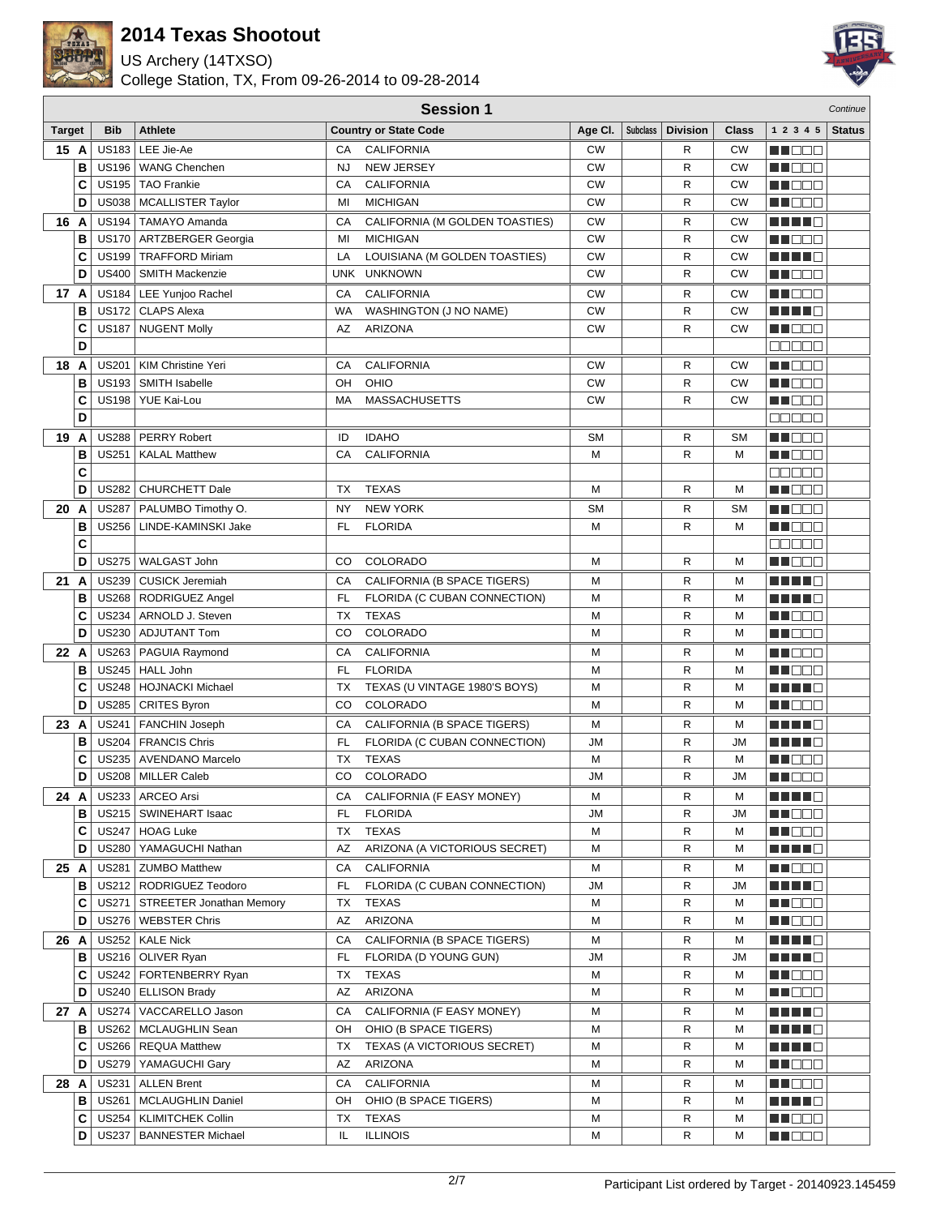

US Archery (14TXSO)



|               | <b>Session 1</b> |                              |                                         |                 |                                |           |                 |                 |              |                              | Continue      |
|---------------|------------------|------------------------------|-----------------------------------------|-----------------|--------------------------------|-----------|-----------------|-----------------|--------------|------------------------------|---------------|
| <b>Target</b> |                  | <b>Bib</b>                   | <b>Athlete</b>                          |                 | <b>Country or State Code</b>   | Age CI.   | <b>Subclass</b> | <b>Division</b> | <b>Class</b> | 1 2 3 4 5                    | <b>Status</b> |
| 15 A          |                  | <b>US183</b>                 | LEE Jie-Ae                              | CA              | <b>CALIFORNIA</b>              | <b>CW</b> |                 | R               | <b>CW</b>    | N NO BIB                     |               |
|               | B                |                              | US196   WANG Chenchen                   | <b>NJ</b>       | <b>NEW JERSEY</b>              | <b>CW</b> |                 | R               | <b>CW</b>    | n de c                       |               |
|               | C                |                              | US195   TAO Frankie                     | CA              | <b>CALIFORNIA</b>              | <b>CW</b> |                 | R               | <b>CW</b>    | HI DE E                      |               |
|               | D                | <b>US038</b>                 | MCALLISTER Taylor                       | MI              | <b>MICHIGAN</b>                | <b>CW</b> |                 | R               | <b>CW</b>    | MU O O O                     |               |
| 16 A          |                  |                              | US194   TAMAYO Amanda                   | CA              | CALIFORNIA (M GOLDEN TOASTIES) | <b>CW</b> |                 | R               | <b>CW</b>    | ma matsa                     |               |
|               | B                |                              | US170   ARTZBERGER Georgia              | MI              | <b>MICHIGAN</b>                | <b>CW</b> |                 | R               | <b>CW</b>    | M DOL                        |               |
|               | C                |                              | US199   TRAFFORD Miriam                 | LA              | LOUISIANA (M GOLDEN TOASTIES)  | <b>CW</b> |                 | R               | <b>CW</b>    | ma mata                      |               |
|               | D                | <b>US400</b>                 | <b>SMITH Mackenzie</b>                  | <b>UNK</b>      | <b>UNKNOWN</b>                 | <b>CW</b> |                 | R               | <b>CW</b>    | MA DE L                      |               |
| 17 A          |                  |                              | US184   LEE Yunjoo Rachel               | СA              | <b>CALIFORNIA</b>              | <b>CW</b> |                 | R               | <b>CW</b>    | MA BEL                       |               |
|               | B                | <b>US172</b>                 | CLAPS Alexa                             | WA              | WASHINGTON (J NO NAME)         | <b>CW</b> |                 | R               | <b>CW</b>    | a di se                      |               |
|               | C                | <b>US187</b>                 | <b>NUGENT Molly</b>                     | AZ              | ARIZONA                        | <b>CW</b> |                 | R               | <b>CW</b>    | M DE O                       |               |
|               | D                |                              |                                         |                 |                                |           |                 |                 |              | 88888                        |               |
| 18 A          |                  | <b>US201</b>                 | KIM Christine Yeri                      | CA              | <b>CALIFORNIA</b>              | <b>CW</b> |                 | R               | <b>CW</b>    | MA BEL                       |               |
|               | B                | <b>US193</b>                 | SMITH Isabelle                          | OH              | OHIO                           | <b>CW</b> |                 | R               | <b>CW</b>    | MA DE L                      |               |
|               | C                | <b>US198</b>                 | YUE Kai-Lou                             | МA              | <b>MASSACHUSETTS</b>           | <b>CW</b> |                 | R               | <b>CW</b>    | MU O O O                     |               |
|               | D                |                              |                                         |                 |                                |           |                 |                 |              | 88888                        |               |
| 19 A          |                  | <b>US288</b>                 | PERRY Robert                            | ID              | <b>IDAHO</b>                   | <b>SM</b> |                 | R               | <b>SM</b>    | M E E E                      |               |
|               | В                | <b>US251</b>                 | <b>KALAL Matthew</b>                    | CA              | CALIFORNIA                     | M         |                 | R               | M            | MA DO O                      |               |
|               | C                |                              |                                         |                 |                                |           |                 |                 |              | e e e e e                    |               |
|               | D                | <b>US282</b>                 | CHURCHETT Dale                          | TX              | <b>TEXAS</b>                   | M         |                 | R               | M            | M DE E                       |               |
| 20 A          |                  | <b>US287</b>                 | PALUMBO Timothy O.                      | NY              | <b>NEW YORK</b>                | <b>SM</b> |                 | R               | <b>SM</b>    | M DE E                       |               |
|               | В                | <b>US256</b>                 | LINDE-KAMINSKI Jake                     | FL              | <b>FLORIDA</b>                 | M         |                 | R               | M            | N I O O O                    |               |
|               | C                |                              |                                         |                 |                                |           |                 |                 |              | a a na m                     |               |
|               | D                | <b>US275</b>                 | WALGAST John                            | CO              | COLORADO                       | M         |                 | R               | М            | MA DE L                      |               |
| 21 A          |                  | <b>US239</b>                 | CUSICK Jeremiah                         | CA              | CALIFORNIA (B SPACE TIGERS)    | M         |                 | R               | М            |                              |               |
|               | B                |                              | US268   RODRIGUEZ Angel                 | <b>FL</b>       | FLORIDA (C CUBAN CONNECTION)   | M         |                 | R               | M            | n di Tinggi                  |               |
|               | C<br>D           | <b>US234</b><br><b>US230</b> | ARNOLD J. Steven<br><b>ADJUTANT Tom</b> | <b>TX</b><br>CO | <b>TEXAS</b><br>COLORADO       | M<br>M    |                 | R<br>R          | M<br>М       | NN OO E                      |               |
|               |                  |                              | US263   PAGUIA Raymond                  |                 | <b>CALIFORNIA</b>              |           |                 |                 |              | M DE B                       |               |
| 22 A          | B                | <b>US245</b>                 | <b>HALL John</b>                        | CA<br><b>FL</b> | <b>FLORIDA</b>                 | M<br>M    |                 | R<br>R          | М<br>М       | MA BEL<br>M DE L             |               |
|               | C                | <b>US248</b>                 | HOJNACKI Michael                        | TX              | TEXAS (U VINTAGE 1980'S BOYS)  | M         |                 | R               | M            | H H H H                      |               |
|               | D                | <b>US285</b>                 | <b>CRITES Byron</b>                     | CO              | COLORADO                       | M         |                 | R               | м            | M DE O                       |               |
| 23 A          |                  | <b>US241</b>                 | <b>FANCHIN Joseph</b>                   | CA              | CALIFORNIA (B SPACE TIGERS)    | M         |                 | R               | М            | MA MARI                      |               |
|               | В                | <b>US204</b>                 | <b>FRANCIS Chris</b>                    | <b>FL</b>       | FLORIDA (C CUBAN CONNECTION)   | <b>JM</b> |                 | R               | ЛU           | n di Tinggi                  |               |
|               | C                | <b>US235</b>                 | <b>AVENDANO Marcelo</b>                 | <b>TX</b>       | <b>TEXAS</b>                   | M         |                 | R               | M            | ME DE L                      |               |
|               | D                |                              | US208   MILLER Caleb                    | CO              | COLORADO                       | <b>JM</b> |                 | R               | <b>JM</b>    | MA DE E                      |               |
| 24 A          |                  |                              | US233   ARCEO Arsi                      | CА              | CALIFORNIA (F EASY MONEY)      | M         |                 | R               | M            | <u> Literatura de la pro</u> |               |
|               | в                |                              | US215   SWINEHART Isaac                 | FL              | <b>FLORIDA</b>                 | JM        |                 | R               | JМ           | MUOOO                        |               |
|               | C                |                              | US247   HOAG Luke                       | TX              | <b>TEXAS</b>                   | М         |                 | R               | М            | <u> Literatur</u>            |               |
|               | D                |                              | US280   YAMAGUCHI Nathan                | AZ              | ARIZONA (A VICTORIOUS SECRET)  | М         |                 | R               | М            | <u>Li Li Li Li</u>           |               |
| 25 A          |                  | <b>US281</b>                 | <b>ZUMBO Matthew</b>                    | CA              | <b>CALIFORNIA</b>              | м         |                 | R               | м            | <u>Li de d</u>               |               |
|               | В                |                              | US212   RODRIGUEZ Teodoro               | FL              | FLORIDA (C CUBAN CONNECTION)   | JM        |                 | R               | JМ           | <u> Literatura de la pro</u> |               |
|               | С                |                              | US271   STREETER Jonathan Memory        | ТX              | <b>TEXAS</b>                   | М         |                 | R               | м            | n i De E                     |               |
|               | D                |                              | US276   WEBSTER Chris                   | AZ              | <b>ARIZONA</b>                 | М         |                 | R               | М            | MUOOO                        |               |
| 26 A          |                  |                              | US252   KALE Nick                       | СA              | CALIFORNIA (B SPACE TIGERS)    | м         |                 | R               | м            | <u> Literatur</u>            |               |
|               | В                |                              | US216   OLIVER Ryan                     | FL              | FLORIDA (D YOUNG GUN)          | JM        |                 | R               | JМ           | MA HIJ                       |               |
|               | С                |                              | US242   FORTENBERRY Ryan                | ТX              | <b>TEXAS</b>                   | М         |                 | R               | М            | WU O O O                     |               |
|               | D                |                              | US240   ELLISON Brady                   | AZ              | ARIZONA                        | М         |                 | R               | M            | MU O O O                     |               |
| 27 A          |                  |                              | US274   VACCARELLO Jason                | CA              | CALIFORNIA (F EASY MONEY)      | М         |                 | R               | м            | <u>Li Li Li C</u>            |               |
|               | в                |                              | US262   MCLAUGHLIN Sean                 | OН              | OHIO (B SPACE TIGERS)          | М         |                 | R               | М            | <u> Literatur</u>            |               |
|               | С                |                              | US266   REQUA Matthew                   | ТX              | TEXAS (A VICTORIOUS SECRET)    | М         |                 | R               | М            | <u> Literatur Se</u>         |               |
|               | D                |                              | US279   YAMAGUCHI Gary                  | AZ              | <b>ARIZONA</b>                 | М         |                 | R               | м            | <u>Li Sec</u>                |               |
| 28 A          |                  | <b>US231</b>                 | <b>ALLEN Brent</b>                      | СA              | <b>CALIFORNIA</b>              | М         |                 | R               | м            | MU O O O                     |               |
|               | в                | <b>US261</b>                 | <b>MCLAUGHLIN Daniel</b>                | OН              | OHIO (B SPACE TIGERS)          | М         |                 | R               | м            | <u> Literatur</u>            |               |
|               | C<br>D           | <b>US254</b>                 | <b>KLIMITCHEK Collin</b>                | ТX              | TEXAS<br><b>ILLINOIS</b>       | М         |                 | R               | М<br>М       | MUOOO                        |               |
|               |                  |                              | US237   BANNESTER Michael               | IL              |                                | М         |                 | R               |              | <u> El Ser</u>               |               |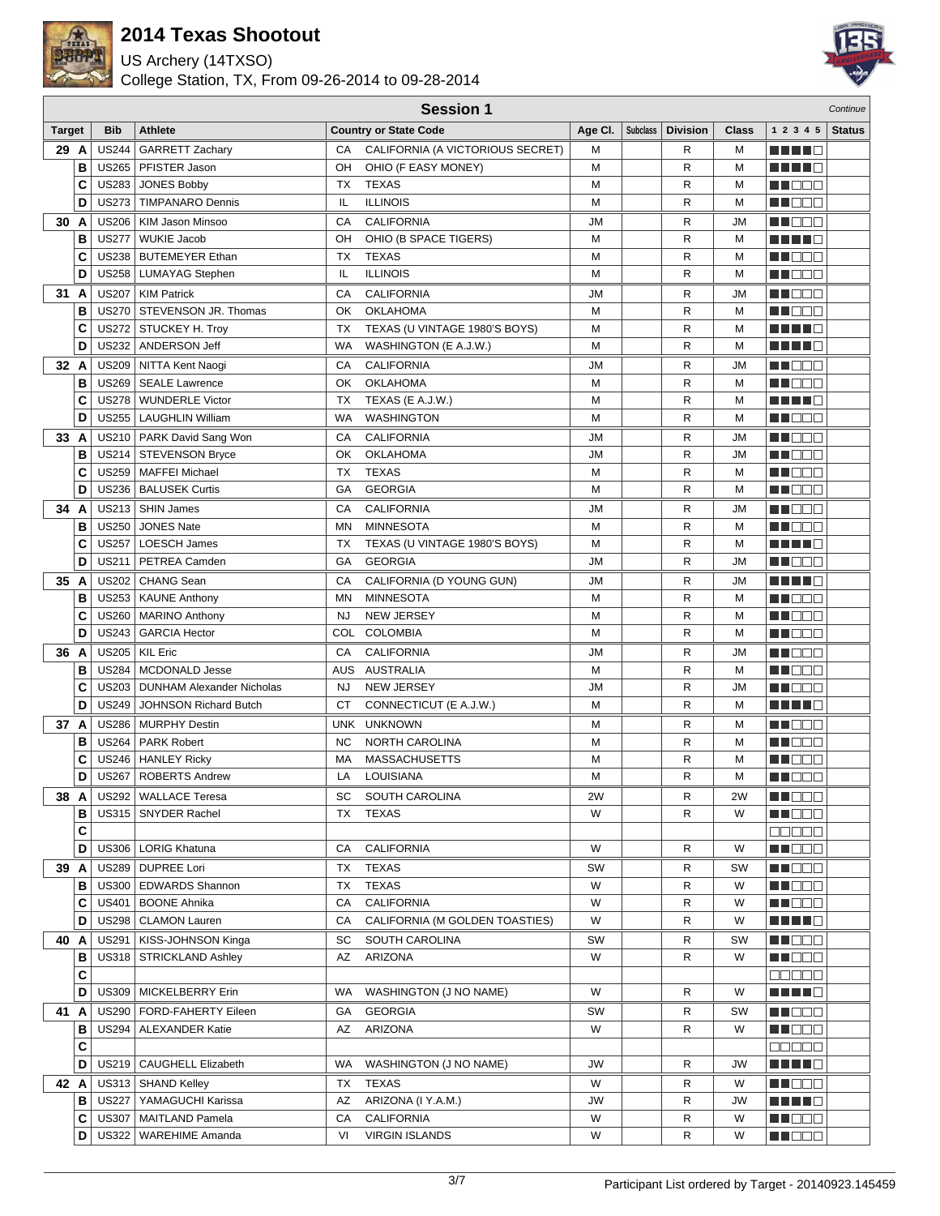

US Archery (14TXSO)



|         | <b>Session 1</b>  |                                  |           |                                  |           |                 |                 |              |                            | Continue      |
|---------|-------------------|----------------------------------|-----------|----------------------------------|-----------|-----------------|-----------------|--------------|----------------------------|---------------|
| Target  | <b>Bib</b>        | <b>Athlete</b>                   |           | <b>Country or State Code</b>     | Age Cl.   | <b>Subclass</b> | <b>Division</b> | <b>Class</b> | 1 2 3 4 5                  | <b>Status</b> |
| 29 A    | <b>US244</b>      | <b>GARRETT Zachary</b>           | СA        | CALIFORNIA (A VICTORIOUS SECRET) | M         |                 | R               | М            | 19 H H H H                 |               |
| B       |                   | US265   PFISTER Jason            | OH        | OHIO (F EASY MONEY)              | M         |                 | R               | M            | H H H 10                   |               |
| C       |                   | US283 JONES Bobby                | <b>TX</b> | <b>TEXAS</b>                     | M         |                 | R               | M            | HI DE E                    |               |
| D       | <b>US273</b>      | <b>TIMPANARO Dennis</b>          | IL        | <b>ILLINOIS</b>                  | M         |                 | R               | М            | n de a                     |               |
| 30 A    |                   | US206   KIM Jason Minsoo         | CA        | <b>CALIFORNIA</b>                | JM        |                 | R               | <b>JM</b>    | MA OO B                    |               |
| B       | <b>US277</b>      | <b>WUKIE Jacob</b>               | OН        | OHIO (B SPACE TIGERS)            | M         |                 | R               | М            | n di Ti                    |               |
| C       |                   | US238   BUTEMEYER Ethan          | ТX        | <b>TEXAS</b>                     | M         |                 | R               | М            | N DE L                     |               |
| D       |                   | US258   LUMAYAG Stephen          | IL        | <b>ILLINOIS</b>                  | M         |                 | R               | М            | MA DE C                    |               |
| 31 A    |                   | US207   KIM Patrick              | СA        | <b>CALIFORNIA</b>                | JM        |                 | R               | <b>JM</b>    | <b>NH</b> OOO              |               |
| B       | <b>US270</b>      | <b>STEVENSON JR. Thomas</b>      | OK        | <b>OKLAHOMA</b>                  | M         |                 | R               | М            | M DE O                     |               |
| C       |                   | US272   STUCKEY H. Troy          | ТX        | TEXAS (U VINTAGE 1980'S BOYS)    | M         |                 | R               | М            | n di Tinggi                |               |
| D       | US232             | ANDERSON Jeff                    | WA        | WASHINGTON (E A.J.W.)            | M         |                 | R               | М            | H H H E                    |               |
| 32 A    | <b>US209</b>      | NITTA Kent Naogi                 | СA        | <b>CALIFORNIA</b>                | <b>JM</b> |                 | R               | <b>JM</b>    | MA DE E                    |               |
| B       |                   | US269   SEALE Lawrence           | OK        | <b>OKLAHOMA</b>                  | M         |                 | R               | М            | MA DE L                    |               |
| C       | <b>US278</b>      | <b>WUNDERLE Victor</b>           | ТX        | TEXAS (E A.J.W.)                 | M         |                 | R               | М            | MA NI O                    |               |
| D       | US255             | LAUGHLIN William                 | WA        | <b>WASHINGTON</b>                | M         |                 | R               | M            | n i DDE                    |               |
| 33 A    |                   | US210   PARK David Sang Won      | СA        | <b>CALIFORNIA</b>                | <b>JM</b> |                 | R               | <b>JM</b>    | MN 888                     |               |
| в       |                   | US214   STEVENSON Bryce          | OK        | <b>OKLAHOMA</b>                  | <b>JM</b> |                 | R               | <b>JM</b>    | MO DO O                    |               |
| C       |                   | US259   MAFFEI Michael           | ТX        | <b>TEXAS</b>                     | M         |                 | R               | М            | <u> Hees</u>               |               |
| D       |                   | US236   BALUSEK Curtis           | GА        | <b>GEORGIA</b>                   | M         |                 | R               | M            | M OOO                      |               |
| 34 A    |                   | US213   SHIN James               | CA        | <b>CALIFORNIA</b>                | JM        |                 | R               | <b>JM</b>    | W DOO                      |               |
| B       | <b>US250</b>      | <b>JONES Nate</b>                | ΜN        | <b>MINNESOTA</b>                 | M         |                 | R               | М            | n de e                     |               |
| C       | <b>US257</b>      | <b>LOESCH James</b>              | ТX        | TEXAS (U VINTAGE 1980'S BOYS)    | M         |                 | R               | M            | n din Fi                   |               |
| D       | <b>US211</b>      | PETREA Camden                    | GA        | <b>GEORGIA</b>                   | <b>JM</b> |                 | R               | <b>JM</b>    | M D D D                    |               |
| 35 A    |                   | US202   CHANG Sean               | СA        | CALIFORNIA (D YOUNG GUN)         | JM        |                 | R               | <b>JM</b>    | <u>Literatur</u>           |               |
| в       |                   | US253   KAUNE Anthony            | ΜN        | <b>MINNESOTA</b>                 | M         |                 | R               | М            | M DOC                      |               |
| C       |                   | US260   MARINO Anthony           | <b>NJ</b> | NEW JERSEY                       | M         |                 | R               | М            | n i Bele                   |               |
| D       | <b>US243</b>      | <b>GARCIA Hector</b>             | COL       | <b>COLOMBIA</b>                  | M         |                 | R               | М            | MA DE C                    |               |
| 36 A    |                   | US205   KIL Eric                 | CA        | <b>CALIFORNIA</b>                | <b>JM</b> |                 | R               | <b>JM</b>    | MA BEL                     |               |
| в       | <b>US284</b>      | <b>MCDONALD Jesse</b>            | AUS       | <b>AUSTRALIA</b>                 | M         |                 | R               | М            | M DE B                     |               |
| C       | <b>US203</b>      | <b>DUNHAM Alexander Nicholas</b> | <b>NJ</b> | NEW JERSEY                       | <b>JM</b> |                 | R               | <b>JM</b>    | M DEE                      |               |
| D       | <b>US249</b>      | <b>JOHNSON Richard Butch</b>     | СT        | CONNECTICUT (E A.J.W.)           | M         |                 | R               | м            | MA MARI                    |               |
| 37<br>A | <b>US286</b>      | <b>MURPHY Destin</b>             | UNK       | <b>UNKNOWN</b>                   | м         |                 | R               | М            | M OO O                     |               |
| в       | <b>US264</b>      | <b>PARK Robert</b>               | <b>NC</b> | <b>NORTH CAROLINA</b>            | M         |                 | R               | M            | ME DE L                    |               |
| C       | <b>US246</b>      | <b>HANLEY Ricky</b>              | МA        | <b>MASSACHUSETTS</b>             | M         |                 | R               | М            | N NO SE                    |               |
| D       | <b>US267</b>      | ROBERTS Andrew                   | LA        | LOUISIANA                        | M         |                 | R               | M            | n i De E                   |               |
| 38 A    |                   | US292   WALLACE Teresa           | SC        | SOUTH CAROLINA                   | 2W        |                 | R               | 2W           | W OOO                      |               |
| в       | US315             | <b>SNYDER Rachel</b>             | TX        | TEXAS                            | W         |                 | R               | W            | NN O O O                   |               |
|         | C                 |                                  |           |                                  |           |                 |                 |              | 88888                      |               |
| D       |                   | US306   LORIG Khatuna            | СA        | <b>CALIFORNIA</b>                | W         |                 | R               | W            | <b>NN DE B</b>             |               |
| 39 A    |                   | US289   DUPREE Lori              | ТX        | <b>TEXAS</b>                     | SW        |                 | R               | SW           | N DE B                     |               |
| в       |                   | US300   EDWARDS Shannon          | ТX        | <b>TEXAS</b>                     | W         |                 | R               | W            | <u>Li dec</u>              |               |
| C       |                   | US401   BOONE Ahnika             | СA        | <b>CALIFORNIA</b>                | W         |                 | R               | W            | NN O O O                   |               |
| D       |                   | US298   CLAMON Lauren            | СA        | CALIFORNIA (M GOLDEN TOASTIES)   | W         |                 | R               | W            | N N N N N                  |               |
| 40 A    |                   | US291   KISS-JOHNSON Kinga       | SC        | SOUTH CAROLINA                   | SW        |                 | R               | SW           | MA DE C                    |               |
| в       |                   | US318   STRICKLAND Ashley        | AZ        | ARIZONA                          | W         |                 | R               | W            | NN DE O                    |               |
| C       |                   |                                  |           |                                  |           |                 |                 |              | 88888                      |               |
|         | D                 | US309   MICKELBERRY Erin         | WA        | WASHINGTON (J NO NAME)           | W         |                 | R               | W            | ME E E E                   |               |
| 41 A    |                   | US290   FORD-FAHERTY Eileen      | GА        | <b>GEORGIA</b>                   | SW        |                 | R               | SW           | MUODO                      |               |
| в       |                   | US294   ALEXANDER Katie          | AZ        | ARIZONA                          | W         |                 | R               | W            | MU DO D                    |               |
|         | C                 |                                  |           |                                  |           |                 |                 |              | $\Box \Box \Box \Box \Box$ |               |
|         | D                 | US219   CAUGHELL Elizabeth       | WA        | WASHINGTON (J NO NAME)           | JW        |                 | R               | JW           | <u>Li se se se </u>        |               |
| 42 A    |                   | US313   SHAND Kelley             | ТX        | <b>TEXAS</b>                     | W         |                 | R               | W            | MU DO O                    |               |
|         | в<br><b>US227</b> | YAMAGUCHI Karissa                | AZ        | ARIZONA (I Y.A.M.)               | JW        |                 | R               | JW           | MA NO                      |               |
| C       | <b>US307</b>      | MAITLAND Pamela                  | СA        | <b>CALIFORNIA</b>                | W         |                 | R               | W            | MA DELE                    |               |
| D       |                   | US322   WAREHIME Amanda          | VI        | <b>VIRGIN ISLANDS</b>            | W         |                 | R               | W            | N HOO B                    |               |
|         |                   |                                  |           |                                  |           |                 |                 |              |                            |               |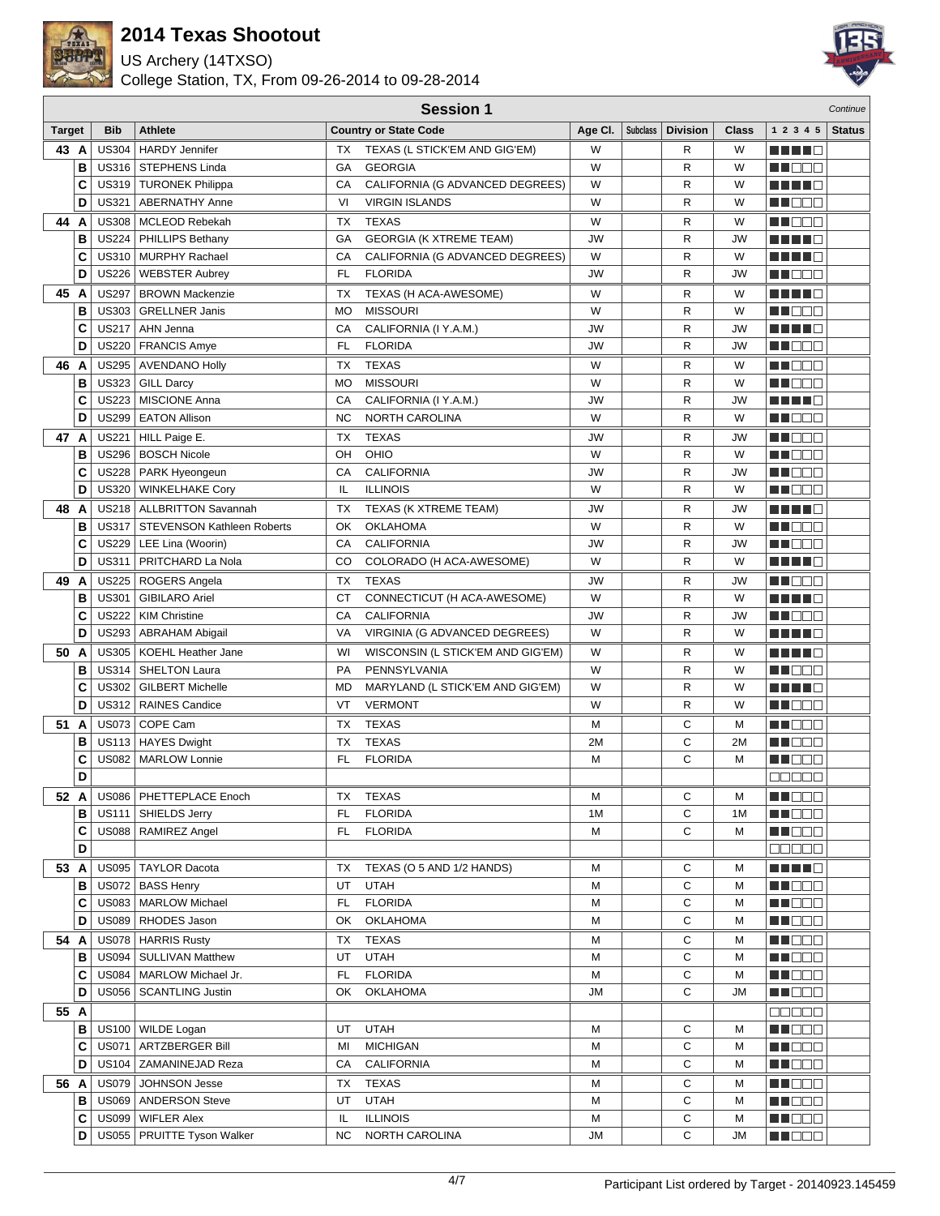

US Archery (14TXSO)



|               | <b>Session 1</b> |              |                                                  |           |                                   |           |                 |                 | Continue  |                   |               |
|---------------|------------------|--------------|--------------------------------------------------|-----------|-----------------------------------|-----------|-----------------|-----------------|-----------|-------------------|---------------|
| <b>Target</b> |                  | <b>Bib</b>   | <b>Athlete</b>                                   |           | <b>Country or State Code</b>      | Age CI.   | <b>Subclass</b> | <b>Division</b> | Class     | 1 2 3 4 5         | <b>Status</b> |
| 43 A          |                  | US304        | <b>HARDY Jennifer</b>                            | TX        | TEXAS (L STICK'EM AND GIG'EM)     | W         |                 | R               | W         |                   |               |
|               | B                |              | US316   STEPHENS Linda                           | GA        | <b>GEORGIA</b>                    | W         |                 | R               | W         | MU DO O           |               |
|               | C                |              | US319   TURONEK Philippa                         | CA        | CALIFORNIA (G ADVANCED DEGREES)   | W         |                 | R               | W         | a kata ing P      |               |
|               | D                | <b>US321</b> | <b>ABERNATHY Anne</b>                            | VI        | <b>VIRGIN ISLANDS</b>             | W         |                 | R               | W         | MU O O O          |               |
| 44 A          |                  |              | US308   MCLEOD Rebekah                           | ТX        | <b>TEXAS</b>                      | W         |                 | R               | W         | n i Bele          |               |
|               | B                |              | US224   PHILLIPS Bethany                         | GА        | <b>GEORGIA (K XTREME TEAM)</b>    | JW        |                 | R               | <b>JW</b> |                   |               |
|               | C                |              | US310   MURPHY Rachael                           | CA        | CALIFORNIA (G ADVANCED DEGREES)   | W         |                 | $\mathsf R$     | W         | n di Ting         |               |
|               | D                |              | US226   WEBSTER Aubrey                           | FL.       | <b>FLORIDA</b>                    | JW        |                 | $\mathsf R$     | <b>JW</b> | MU DO O           |               |
| 45 A          |                  |              | US297   BROWN Mackenzie                          | ТX        | TEXAS (H ACA-AWESOME)             | W         |                 | R               | W         | MA MA             |               |
|               | B                | US303        | <b>GRELLNER Janis</b>                            | MO        | <b>MISSOURI</b>                   | W         |                 | $\mathsf R$     | W         | n na m            |               |
|               | C                | <b>US217</b> | AHN Jenna                                        | CA        | CALIFORNIA (I Y.A.M.)             | <b>JW</b> |                 | R               | <b>JW</b> | n di Tinggi       |               |
|               | D                | <b>US220</b> | <b>FRANCIS Amye</b>                              | FL        | <b>FLORIDA</b>                    | JW        |                 | R               | <b>JW</b> | ME DE L           |               |
| 46            | A                |              | US295 AVENDANO Holly                             | <b>TX</b> | <b>TEXAS</b>                      | W         |                 | R               | W         | MA DO B           |               |
|               | в                | <b>US323</b> | <b>GILL Darcy</b>                                | <b>MO</b> | <b>MISSOURI</b>                   | W         |                 | R               | W         | MA DE L           |               |
|               | C                | <b>US223</b> | <b>MISCIONE Anna</b>                             | СA        | CALIFORNIA (I Y.A.M.)             | JW        |                 | R               | JW        | H H H H           |               |
|               | D                | <b>US299</b> | <b>EATON Allison</b>                             | NC        | NORTH CAROLINA                    | W         |                 | R               | W         | N I O O O         |               |
| 47 A          |                  | <b>US221</b> | HILL Paige E.                                    | ТX        | <b>TEXAS</b>                      | JW        |                 | R               | JW        | N NO BIB          |               |
|               | B                | <b>US296</b> | <b>BOSCH Nicole</b>                              | OН        | OHIO                              | W         |                 | R               | W         | n na ma           |               |
|               | C                | <b>US228</b> | PARK Hyeongeun                                   | CA        | <b>CALIFORNIA</b>                 | JW        |                 | R               | <b>JW</b> | M DE S            |               |
|               | D                | <b>US320</b> | <b>WINKELHAKE Cory</b>                           | IL        | <b>ILLINOIS</b>                   | W         |                 | R               | W         | MA DE E           |               |
| 48            | A                |              | US218   ALLBRITTON Savannah                      | TX        | TEXAS (K XTREME TEAM)             | JW        |                 | R               | JW        | H H H H           |               |
|               | в                | <b>US317</b> | <b>STEVENSON Kathleen Roberts</b>                | ОК        | <b>OKLAHOMA</b>                   | W         |                 | R               | W         | MUOOO             |               |
|               | C                |              | US229   LEE Lina (Woorin)                        | CA        | <b>CALIFORNIA</b>                 | JW        |                 | R               | <b>JW</b> | en 1960 ko        |               |
|               | D                | US311        | PRITCHARD La Nola                                | CO        | COLORADO (H ACA-AWESOME)          | W         |                 | R               | W         |                   |               |
| 49 A          |                  |              | US225   ROGERS Angela                            | ТX        | <b>TEXAS</b>                      | JW        |                 | R               | JW        | M DE S            |               |
|               | В                | <b>US301</b> | <b>GIBILARO Ariel</b>                            | <b>CT</b> | CONNECTICUT (H ACA-AWESOME)       | W         |                 | R               | W         | n di Tinggi       |               |
|               | C                | <b>US222</b> | <b>KIM Christine</b>                             | CA        | <b>CALIFORNIA</b>                 | <b>JW</b> |                 | R               | JW        | NN OO E           |               |
|               | D                |              | US293   ABRAHAM Abigail                          | VA        | VIRGINIA (G ADVANCED DEGREES)     | W         |                 | R               | W         | <u> El Ber</u>    |               |
| 50 A          |                  |              | US305   KOEHL Heather Jane                       | WI        | WISCONSIN (L STICK'EM AND GIG'EM) | W         |                 | R               | W         | n di Tinggi       |               |
|               | В                | US314        | SHELTON Laura                                    | PA        | PENNSYLVANIA                      | W         |                 | R               | W         | HI EEE            |               |
|               | C                | <b>US302</b> | <b>GILBERT Michelle</b>                          | MD        | MARYLAND (L STICK'EM AND GIG'EM)  | W         |                 | R               | W         | MA MARINA         |               |
|               | D                |              | US312   RAINES Candice                           | VT        | <b>VERMONT</b>                    | W         |                 | R               | W         | MUOOO             |               |
| 51            | A                |              | US073 COPE Cam                                   | ТX        | <b>TEXAS</b>                      | M         |                 | С               | М         | MN 888            |               |
|               | в                |              | US113   HAYES Dwight                             | ТX        | <b>TEXAS</b>                      | 2M        |                 | С               | 2M        | N NOTE            |               |
|               | C                | <b>US082</b> | <b>MARLOW Lonnie</b>                             | FL        | <b>FLORIDA</b>                    | М         |                 | C               | м         | ME DE L           |               |
|               | D                |              |                                                  |           |                                   |           |                 |                 |           | a da da           |               |
| 52 A          |                  |              | US086   PHETTEPLACE Enoch                        | ТX        | <b>TEXAS</b>                      | М         |                 | С               | м         | MUOOO             |               |
|               | в                |              | US111   SHIELDS Jerry                            | FL        | <b>FLORIDA</b>                    | 1M        |                 | С               | 1M        | n i De E          |               |
|               | С                |              | US088   RAMIREZ Angel                            | FL.       | <b>FLORIDA</b>                    | Μ         |                 | C               | М         | <b>MA</b> OOO     |               |
|               | D                |              |                                                  |           |                                   |           |                 |                 |           | <b>00000</b>      |               |
| 53 A          |                  |              | US095   TAYLOR Dacota                            | <b>TX</b> | TEXAS (O 5 AND 1/2 HANDS)         | М         |                 | С               | М         | MA NA MA          |               |
|               | в                |              | US072   BASS Henry                               | UT        | <b>UTAH</b>                       | М         |                 | C<br>С          | M<br>M    | N NO DEI          |               |
|               | C<br>D           |              | US083   MARLOW Michael<br>US089   RHODES Jason   | FL<br>ОК  | <b>FLORIDA</b><br><b>OKLAHOMA</b> | М<br>М    |                 | С               | М         | MU O O O<br>MUOOO |               |
|               |                  |              |                                                  |           |                                   |           |                 |                 |           |                   |               |
| 54 A          | в                |              | US078   HARRIS Rusty<br>US094   SULLIVAN Matthew | ТX<br>UT  | TEXAS<br><b>UTAH</b>              | М<br>Μ    |                 | С<br>С          | м<br>М    | MUOOO<br>MU DE B  |               |
|               | С                |              | US084   MARLOW Michael Jr.                       | FL        | <b>FLORIDA</b>                    | Μ         |                 | С               | М         | <b>MA</b> OO O    |               |
|               | D                |              | US056   SCANTLING Justin                         | OK        | <b>OKLAHOMA</b>                   | JM        |                 | С               | JМ        | MU DO B           |               |
| 55 A          |                  |              |                                                  |           |                                   |           |                 |                 |           | <b>BODDE</b>      |               |
|               | в                |              | US100   WILDE Logan                              | UT        | <b>UTAH</b>                       | Μ         |                 | С               | М         | MN DE B           |               |
|               | C                |              | US071   ARTZBERGER Bill                          | MI        | <b>MICHIGAN</b>                   | M         |                 | С               | М         | <b>HE</b> OOO     |               |
|               | D                |              | US104   ZAMANINEJAD Reza                         | СA        | CALIFORNIA                        | M         |                 | C               | М         | MU O O O          |               |
| 56 A          |                  |              | US079 JOHNSON Jesse                              | ТX        | TEXAS                             | Μ         |                 | С               | М         | MU O O O          |               |
|               | в                |              | US069   ANDERSON Steve                           | UT        | <b>UTAH</b>                       | M         |                 | С               | М         | MU DO B           |               |
|               | C                |              | US099   WIFLER Alex                              | IL        | <b>ILLINOIS</b>                   | М         |                 | С               | М         | MN O O O          |               |
|               | D                |              | US055   PRUITTE Tyson Walker                     | ΝC        | NORTH CAROLINA                    | JM        |                 | С               | JМ        | <b>MA</b> OOO     |               |
|               |                  |              |                                                  |           |                                   |           |                 |                 |           |                   |               |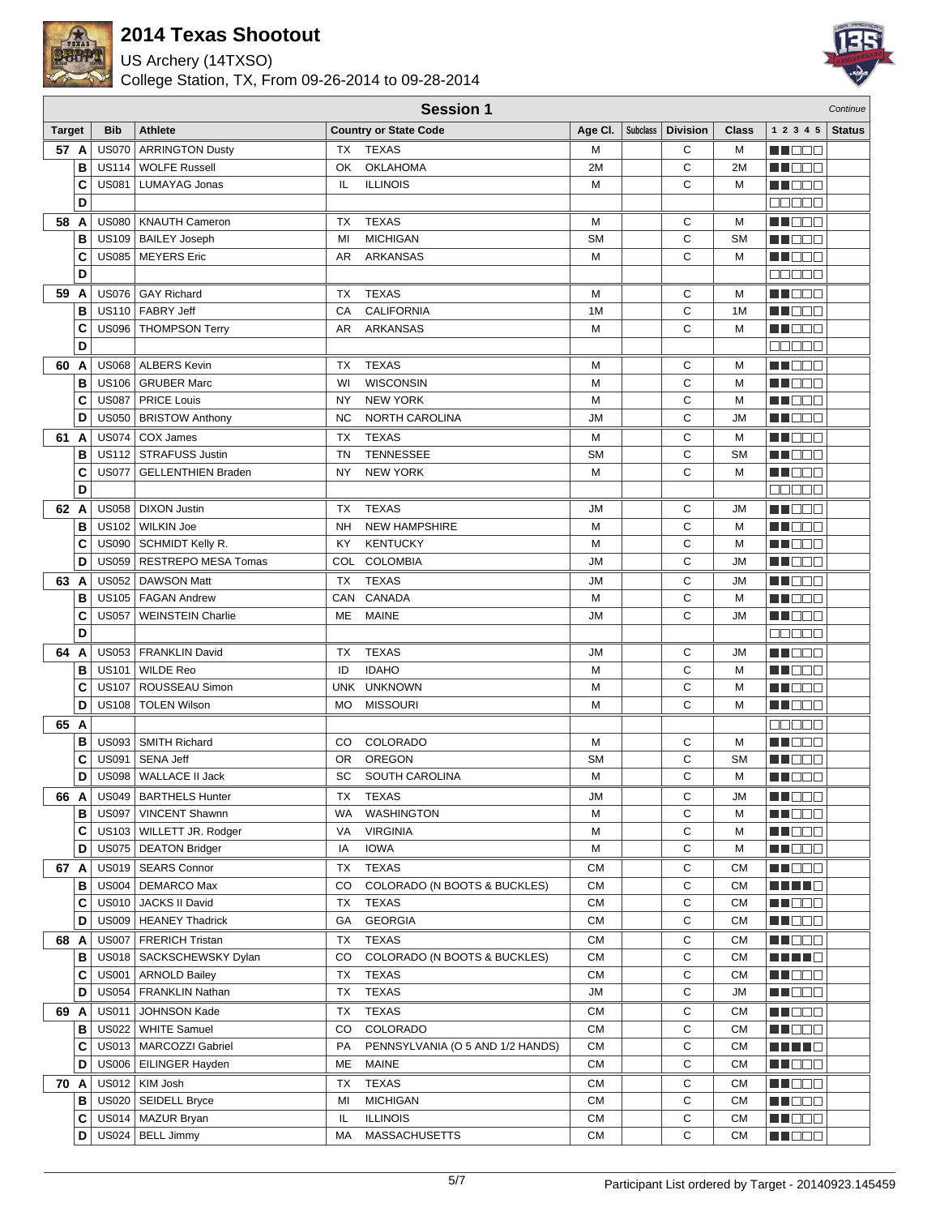

US Archery (14TXSO)



|               | <b>Session 1</b> |              |                             |           |                                  |           |          |                 |              |                   | Continue      |
|---------------|------------------|--------------|-----------------------------|-----------|----------------------------------|-----------|----------|-----------------|--------------|-------------------|---------------|
| <b>Target</b> |                  | <b>Bib</b>   | Athlete                     |           | <b>Country or State Code</b>     | Age CI.   | Subclass | <b>Division</b> | <b>Class</b> | 1 2 3 4 5         | <b>Status</b> |
| 57 A          |                  | <b>US070</b> | <b>ARRINGTON Dusty</b>      | TX        | TEXAS                            | м         |          | С               | М            | M OO O            |               |
|               | B                |              | US114   WOLFE Russell       | OK        | OKLAHOMA                         | 2M        |          | C               | 2M           | n i Bele          |               |
|               | C                | <b>US081</b> | LUMAYAG Jonas               | IL.       | <b>ILLINOIS</b>                  | M         |          | C               | M            | a de esta         |               |
|               | D                |              |                             |           |                                  |           |          |                 |              | <b>DODDE</b>      |               |
| 58 A          |                  |              | US080   KNAUTH Cameron      | ТX        | <b>TEXAS</b>                     | M         |          | С               | М            | M DE O            |               |
|               | B                |              | US109   BAILEY Joseph       | MI        | <b>MICHIGAN</b>                  | <b>SM</b> |          | C               | <b>SM</b>    | MA DELE           |               |
|               | C                |              | US085   MEYERS Eric         | AR        | ARKANSAS                         | M         |          | C               | M            | MI DE L           |               |
|               | D                |              |                             |           |                                  |           |          |                 |              | 00000             |               |
| 59            | A                |              | US076 GAY Richard           | ТX        | <b>TEXAS</b>                     | М         |          | С               | М            | n i Belg          |               |
|               | В                |              | US110 FABRY Jeff            | CA        | <b>CALIFORNIA</b>                | 1M        |          | C               | 1M           | n in Eise         |               |
|               | C                |              | US096   THOMPSON Terry      | AR        | ARKANSAS                         | M         |          | С               | М            | MN 889            |               |
|               | D                |              |                             |           |                                  |           |          |                 |              | 00000             |               |
| 60            | A                |              | US068   ALBERS Kevin        | ТX        | <b>TEXAS</b>                     | M         |          | С               | М            | HI DE E           |               |
|               | В                |              | US106   GRUBER Marc         | WI        | <b>WISCONSIN</b>                 | M         |          | C               | М            | MT BE B           |               |
|               | C                |              | US087   PRICE Louis         | NY        | <b>NEW YORK</b>                  | M         |          | C               | М            | MU DOC            |               |
|               | D                |              | US050   BRISTOW Anthony     | <b>NC</b> | <b>NORTH CAROLINA</b>            | ЛU        |          | C               | <b>JM</b>    | MU DEL            |               |
| 61 A          |                  |              | US074   COX James           | TX        | <b>TEXAS</b>                     | M         |          | C               | М            | M DOO             |               |
|               | B                |              | US112   STRAFUSS Justin     | <b>TN</b> | <b>TENNESSEE</b>                 | <b>SM</b> |          | C               | <b>SM</b>    | <b>REDDE</b>      |               |
|               | C                | <b>US077</b> | <b>GELLENTHIEN Braden</b>   | NY        | <b>NEW YORK</b>                  | M         |          | C               | М            | MU DE B           |               |
|               | D                |              |                             |           |                                  |           |          |                 |              | <b>00000</b>      |               |
| 62 A          |                  |              | US058   DIXON Justin        | ТX        | <b>TEXAS</b>                     | JМ        |          | С               | <b>JM</b>    | M DE O            |               |
|               | В                |              | US102 WILKIN Joe            | <b>NH</b> | <b>NEW HAMPSHIRE</b>             | M         |          | C               | M            | N N N N N         |               |
|               | C                |              | US090   SCHMIDT Kelly R.    | KY        | <b>KENTUCKY</b>                  | M         |          | C               | М            | N DE E            |               |
|               | D                |              | US059   RESTREPO MESA Tomas |           | COL COLOMBIA                     | <b>JM</b> |          | C               | <b>JM</b>    | MU DE E           |               |
| 63            | A                |              | US052   DAWSON Matt         | TX        | <b>TEXAS</b>                     | JM        |          | С               | JM           | n de s            |               |
|               | в                |              | US105   FAGAN Andrew        | CAN       | CANADA                           | M         |          | C               | М            | MU DE S           |               |
|               | C                | <b>US057</b> | <b>WEINSTEIN Charlie</b>    | ME        | <b>MAINE</b>                     | <b>JM</b> |          | C               | <b>JM</b>    | ma da E           |               |
|               | D                |              |                             |           |                                  |           |          |                 |              | 00000             |               |
| 64            | A                |              | US053   FRANKLIN David      | ТX        | <b>TEXAS</b>                     | <b>JM</b> |          | C               | JM           | MN DE S           |               |
|               | в                | <b>US101</b> | <b>WILDE Reo</b>            | ID        | <b>IDAHO</b>                     | M         |          | С               | M            | <b>NH</b> OOO     |               |
|               | C                | <b>US107</b> | ROUSSEAU Simon              |           | UNK UNKNOWN                      | M         |          | С               | М            | M DE U            |               |
|               | D                | <b>US108</b> | <b>TOLEN Wilson</b>         | <b>MO</b> | <b>MISSOURI</b>                  | M         |          | C               | М            | MN DO B           |               |
| 65 A          |                  |              |                             |           |                                  |           |          |                 |              | <b>BBBBB</b>      |               |
|               | в                |              | US093 SMITH Richard         | CO.       | COLORADO                         | M         |          | C               | М            | MN DOO            |               |
|               | C                | <b>US091</b> | <b>SENA Jeff</b>            | 0R        | <b>OREGON</b>                    | <b>SM</b> |          | C               | <b>SM</b>    | MU DE E           |               |
|               | D                | <b>US098</b> | WALLACE II Jack             | SC        | SOUTH CAROLINA                   | M         |          | $\mathsf{C}$    | M            | MA EL B           |               |
| 66 A          |                  |              | US049   BARTHELS Hunter     | ТX        | TEXAS                            | JM        |          | С               | JM           | <u>Li dec</u>     |               |
|               | в                | <b>US097</b> | <b>VINCENT Shawnn</b>       | WA        | <b>WASHINGTON</b>                | M         |          | C               | М            | MUOOO             |               |
|               | С                |              | US103   WILLETT JR. Rodger  | VA        | <b>VIRGINIA</b>                  | M         |          | С               | М            | N DO D            |               |
|               | D                |              | US075   DEATON Bridger      | IA        | <b>IOWA</b>                      | M         |          | С               | М            | <b>MNOOO</b>      |               |
| 67 A          |                  |              | US019   SEARS Connor        | ТX        | <b>TEXAS</b>                     | <b>CM</b> |          | С               | CМ           | <b>REDDE</b>      |               |
|               | в                |              | US004   DEMARCO Max         | CO        | COLORADO (N BOOTS & BUCKLES)     | <b>CM</b> |          | С               | CМ           | <u> Literatur</u> |               |
|               | С                |              | US010   JACKS II David      | ТX        | <b>TEXAS</b>                     | <b>CM</b> |          | С               | CМ           | MUOOO             |               |
|               | D                |              | US009   HEANEY Thadrick     | GA        | <b>GEORGIA</b>                   | <b>CM</b> |          | C               | СM           | MU DO O           |               |
| 68 A          |                  | <b>US007</b> | FRERICH Tristan             | ТX        | <b>TEXAS</b>                     | <b>CM</b> |          | С               | CМ           | MN 888            |               |
|               | в                |              | US018   SACKSCHEWSKY Dylan  | CO        | COLORADO (N BOOTS & BUCKLES)     | <b>CM</b> |          | C               | <b>CM</b>    | Martin Ma         |               |
|               | С                | <b>US001</b> | ARNOLD Bailey               | ТX        | <b>TEXAS</b>                     | <b>CM</b> |          | С               | СM           | <b>MNODO</b>      |               |
|               | D                | <b>US054</b> | <b>FRANKLIN Nathan</b>      | ТX        | <b>TEXAS</b>                     | <b>JM</b> |          | С               | JM           | MU O O O          |               |
| 69 A          |                  | <b>US011</b> | JOHNSON Kade                | ТX        | <b>TEXAS</b>                     | СM        |          | С               | СM           | MU DO B           |               |
|               | в                | <b>US022</b> | WHITE Samuel                | CO        | COLORADO                         | CM        |          | С               | СM           | MN DOO            |               |
|               | C                |              | US013   MARCOZZI Gabriel    | PA        | PENNSYLVANIA (O 5 AND 1/2 HANDS) | <b>CM</b> |          | С               | <b>CM</b>    | <u> HII I E</u>   |               |
|               | D                |              | US006   EILINGER Hayden     | МE        | <b>MAINE</b>                     | <b>CM</b> |          | С               | CМ           | <b>NNODO</b>      |               |
| 70 A          |                  |              | US012   KIM Josh            | ТX        | <b>TEXAS</b>                     | CM        |          | С               | СM           | <b>REDDE</b>      |               |
|               | в                |              | US020   SEIDELL Bryce       | MI        | <b>MICHIGAN</b>                  | <b>CM</b> |          | С               | CМ           | MU OOO            |               |
|               | C                |              | US014   MAZUR Bryan         | IL        | <b>ILLINOIS</b>                  | CM        |          | C               | СM           | MUOOO             |               |
|               | D                |              | US024   BELL Jimmy          | МA        | <b>MASSACHUSETTS</b>             | СM        |          | С               | <b>CM</b>    | <b>RECOR</b>      |               |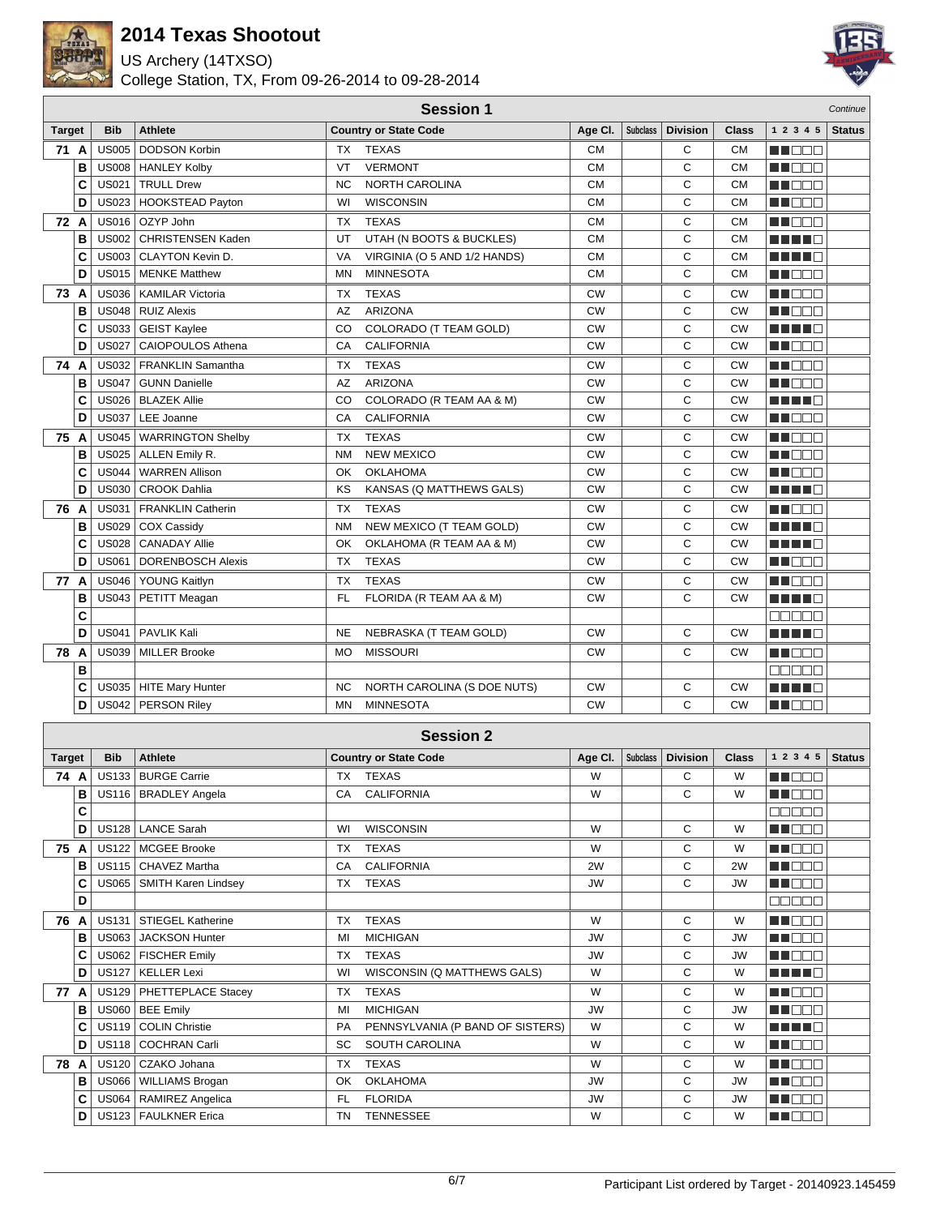

US Archery (14TXSO)



|               |   |              |                           |           | <b>Session 1</b>             |           |                 |                 |              |                                                                                                                                                                                                                                | Continue      |
|---------------|---|--------------|---------------------------|-----------|------------------------------|-----------|-----------------|-----------------|--------------|--------------------------------------------------------------------------------------------------------------------------------------------------------------------------------------------------------------------------------|---------------|
| <b>Target</b> |   | <b>Bib</b>   | <b>Athlete</b>            |           | <b>Country or State Code</b> | Age Cl.   | <b>Subclass</b> | <b>Division</b> | <b>Class</b> | 1 2 3 4 5                                                                                                                                                                                                                      | <b>Status</b> |
| 71 A          |   | <b>US005</b> | <b>DODSON Korbin</b>      | TX        | <b>TEXAS</b>                 | <b>CM</b> |                 | C               | <b>CM</b>    | ME DE L                                                                                                                                                                                                                        |               |
|               | B |              | US008   HANLEY Kolby      | VT        | <b>VERMONT</b>               | <b>CM</b> |                 | C               | <b>CM</b>    | n na m                                                                                                                                                                                                                         |               |
|               | C | <b>US021</b> | <b>TRULL Drew</b>         | <b>NC</b> | <b>NORTH CAROLINA</b>        | <b>CM</b> |                 | C               | <b>CM</b>    | M D D D                                                                                                                                                                                                                        |               |
|               | D | <b>US023</b> | <b>HOOKSTEAD Payton</b>   | WI        | <b>WISCONSIN</b>             | <b>CM</b> |                 | C               | <b>CM</b>    | MU O O O                                                                                                                                                                                                                       |               |
| 72 A          |   | <b>US016</b> | OZYP John                 | <b>TX</b> | <b>TEXAS</b>                 | <b>CM</b> |                 | С               | CМ           | MA BEL                                                                                                                                                                                                                         |               |
|               | в | <b>US002</b> | <b>CHRISTENSEN Kaden</b>  | UT        | UTAH (N BOOTS & BUCKLES)     | <b>CM</b> |                 | C               | <b>CM</b>    | n na ma                                                                                                                                                                                                                        |               |
|               | C | <b>US003</b> | <b>CLAYTON Kevin D.</b>   | VA        | VIRGINIA (O 5 AND 1/2 HANDS) | <b>CM</b> |                 | C               | <b>CM</b>    | n na m                                                                                                                                                                                                                         |               |
|               | D |              | US015   MENKE Matthew     | <b>MN</b> | <b>MINNESOTA</b>             | <b>CM</b> |                 | C               | <b>CM</b>    | M OO B                                                                                                                                                                                                                         |               |
| 73 A          |   | <b>US036</b> | <b>KAMILAR Victoria</b>   | <b>TX</b> | <b>TEXAS</b>                 | <b>CW</b> |                 | C               | <b>CW</b>    | MA DEL A                                                                                                                                                                                                                       |               |
|               | в | <b>US048</b> | <b>RUIZ Alexis</b>        | AZ        | <b>ARIZONA</b>               | <b>CW</b> |                 | C               | <b>CW</b>    | U DOO                                                                                                                                                                                                                          |               |
|               | C | <b>US033</b> | <b>GEIST Kaylee</b>       | CO        | COLORADO (T TEAM GOLD)       | <b>CW</b> |                 | C               | <b>CW</b>    | n na me                                                                                                                                                                                                                        |               |
|               | D | <b>US027</b> | CAIOPOULOS Athena         | CA        | <b>CALIFORNIA</b>            | <b>CW</b> |                 | C               | <b>CW</b>    | MN DE S                                                                                                                                                                                                                        |               |
| 74 A          |   |              | US032   FRANKLIN Samantha | <b>TX</b> | <b>TEXAS</b>                 | <b>CW</b> |                 | C               | <b>CW</b>    | <b>RENATION</b>                                                                                                                                                                                                                |               |
|               | в | <b>US047</b> | <b>GUNN Danielle</b>      | AZ        | <b>ARIZONA</b>               | CW        |                 | C               | <b>CW</b>    | e de la construcción de la construcción de la construcción de la construcción de la construcción de la construcción de la construcción de la construcción de la construcción de la construcción de la construcción de la const |               |
|               | C | <b>US026</b> | <b>BLAZEK Allie</b>       | CO        | COLORADO (R TEAM AA & M)     | <b>CW</b> |                 | C               | <b>CW</b>    | H H H E                                                                                                                                                                                                                        |               |
|               | D | <b>US037</b> | LEE Joanne                | CA        | <b>CALIFORNIA</b>            | <b>CW</b> |                 | C               | <b>CW</b>    | ME E E E                                                                                                                                                                                                                       |               |
| 75            | A | <b>US045</b> | <b>WARRINGTON Shelby</b>  | <b>TX</b> | <b>TEXAS</b>                 | <b>CW</b> |                 | С               | <b>CW</b>    | ma a a a                                                                                                                                                                                                                       |               |
|               | в | <b>US025</b> | ALLEN Emily R.            | <b>NM</b> | <b>NEW MEXICO</b>            | <b>CW</b> |                 | С               | <b>CW</b>    | MA DE LA                                                                                                                                                                                                                       |               |
|               | C | <b>US044</b> | <b>WARREN Allison</b>     | OK        | <b>OKLAHOMA</b>              | CW        |                 | C               | <b>CW</b>    | MA BEL                                                                                                                                                                                                                         |               |
|               | D | <b>US030</b> | CROOK Dahlia              | KS        | KANSAS (Q MATTHEWS GALS)     | <b>CW</b> |                 | C               | <b>CW</b>    | MA MAR                                                                                                                                                                                                                         |               |
| 76 A          |   | <b>US031</b> | <b>FRANKLIN Catherin</b>  | <b>TX</b> | <b>TEXAS</b>                 | <b>CW</b> |                 | C               | <b>CW</b>    | ME E E E                                                                                                                                                                                                                       |               |
|               | в | <b>US029</b> | <b>COX Cassidy</b>        | <b>NM</b> | NEW MEXICO (T TEAM GOLD)     | <b>CW</b> |                 | C               | <b>CW</b>    | n na me                                                                                                                                                                                                                        |               |
|               | C | <b>US028</b> | <b>CANADAY Allie</b>      | OK        | OKLAHOMA (R TEAM AA & M)     | <b>CW</b> |                 | C               | <b>CW</b>    | MA MAR                                                                                                                                                                                                                         |               |
|               | D | <b>US061</b> | <b>DORENBOSCH Alexis</b>  | <b>TX</b> | <b>TEXAS</b>                 | <b>CW</b> |                 | C               | <b>CW</b>    | MU DE E                                                                                                                                                                                                                        |               |
| 77 A          |   | <b>US046</b> | YOUNG Kaitlyn             | TX        | <b>TEXAS</b>                 | СW        |                 | C               | CW           | man ma                                                                                                                                                                                                                         |               |
|               | в | <b>US043</b> | PETITT Meagan             | <b>FL</b> | FLORIDA (R TEAM AA & M)      | <b>CW</b> |                 | C               | <b>CW</b>    | ma mata                                                                                                                                                                                                                        |               |
|               | C |              |                           |           |                              |           |                 |                 |              | n na na                                                                                                                                                                                                                        |               |
|               | D | <b>US041</b> | PAVLIK Kali               | <b>NE</b> | NEBRASKA (T TEAM GOLD)       | <b>CW</b> |                 | C               | <b>CW</b>    | n na me                                                                                                                                                                                                                        |               |
| 78            | A |              | US039 MILLER Brooke       | <b>MO</b> | <b>MISSOURI</b>              | <b>CW</b> |                 | C               | <b>CW</b>    | man an                                                                                                                                                                                                                         |               |
|               | B |              |                           |           |                              |           |                 |                 |              | 88888                                                                                                                                                                                                                          |               |
|               | C |              | US035   HITE Mary Hunter  | <b>NC</b> | NORTH CAROLINA (S DOE NUTS)  | <b>CW</b> |                 | C               | <b>CW</b>    | ma mata                                                                                                                                                                                                                        |               |
|               | D | US042        | <b>PERSON Riley</b>       | <b>MN</b> | <b>MINNESOTA</b>             | <b>CW</b> |                 | C               | <b>CW</b>    | MA OO T                                                                                                                                                                                                                        |               |

|               |   |              |                             |           | <b>Session 2</b>                 |           |                 |                 |           |                 |               |
|---------------|---|--------------|-----------------------------|-----------|----------------------------------|-----------|-----------------|-----------------|-----------|-----------------|---------------|
| <b>Target</b> |   | <b>Bib</b>   | <b>Athlete</b>              |           | <b>Country or State Code</b>     | Age CI.   | <b>Subclass</b> | <b>Division</b> | Class     | 1 2 3 4 5       | <b>Status</b> |
| 74 A          |   | US133        | <b>BURGE Carrie</b>         | ТX        | <b>TEXAS</b>                     | W         |                 | С               | W         | ma mar          |               |
|               | в | US116        | <b>BRADLEY Angela</b>       | CA        | <b>CALIFORNIA</b>                | W         |                 | C               | W         | TOE<br>u T      |               |
|               | C |              |                             |           |                                  |           |                 |                 |           | <b>ROBER</b>    |               |
|               | D | US128        | <b>LANCE Sarah</b>          | WI        | <b>WISCONSIN</b>                 | W         |                 | C               | W         | MN DE O         |               |
| 75            | A | <b>US122</b> | <b>MCGEE Brooke</b>         | <b>TX</b> | <b>TEXAS</b>                     | W         |                 | C               | W         | <b>HELLER</b>   |               |
|               | в | US115        | <b>CHAVEZ Martha</b>        | CA        | <b>CALIFORNIA</b>                | 2W        |                 | C               | 2W        | MA DELL'        |               |
|               | C |              | US065   SMITH Karen Lindsey | <b>TX</b> | <b>TEXAS</b>                     | <b>JW</b> |                 | C               | <b>JW</b> | M BEIT          |               |
|               | D |              |                             |           |                                  |           |                 |                 |           | 88888           |               |
| 76            | A | US131        | <b>STIEGEL Katherine</b>    | <b>TX</b> | <b>TEXAS</b>                     | W         |                 | C               | W         | <b>REDEE</b>    |               |
|               | в |              | US063   JACKSON Hunter      | MI        | <b>MICHIGAN</b>                  | <b>JW</b> |                 | C               | <b>JW</b> | MA DELE         |               |
|               | C | <b>US062</b> | <b>FISCHER Emily</b>        | <b>TX</b> | <b>TEXAS</b>                     | <b>JW</b> |                 | C               | <b>JW</b> | ma mar          |               |
|               | D | <b>US127</b> | <b>KELLER Lexi</b>          | WI        | WISCONSIN (Q MATTHEWS GALS)      | W         |                 | C               | W         | ma mar          |               |
| 77            | A |              | US129   PHETTEPLACE Stacey  | <b>TX</b> | <b>TEXAS</b>                     | W         |                 | C               | W         | <b>RENDE</b>    |               |
|               | в | US060        | <b>BEE Emily</b>            | MI        | <b>MICHIGAN</b>                  | <b>JW</b> |                 | C               | <b>JW</b> | man man         |               |
|               | C | US119        | <b>COLIN Christie</b>       | PA        | PENNSYLVANIA (P BAND OF SISTERS) | W         |                 | C               | W         | a port<br>THE R |               |
|               | D |              | US118   COCHRAN Carli       | <b>SC</b> | <b>SOUTH CAROLINA</b>            | W         |                 | C               | W         | n n n n n       |               |
| 78            | A | US120        | CZAKO Johana                | <b>TX</b> | <b>TEXAS</b>                     | W         |                 | C               | W         | חר<br>m or      |               |
|               | в | <b>US066</b> | <b>WILLIAMS Brogan</b>      | OK        | <b>OKLAHOMA</b>                  | <b>JW</b> |                 | C               | <b>JW</b> | an mar          |               |
|               | C | <b>US064</b> | RAMIREZ Angelica            | FL.       | <b>FLORIDA</b>                   | <b>JW</b> |                 | C               | <b>JW</b> | MN O O O        |               |
|               | D |              | US123   FAULKNER Erica      | <b>TN</b> | <b>TENNESSEE</b>                 | W         |                 | C               | W         | MA DEJA         |               |